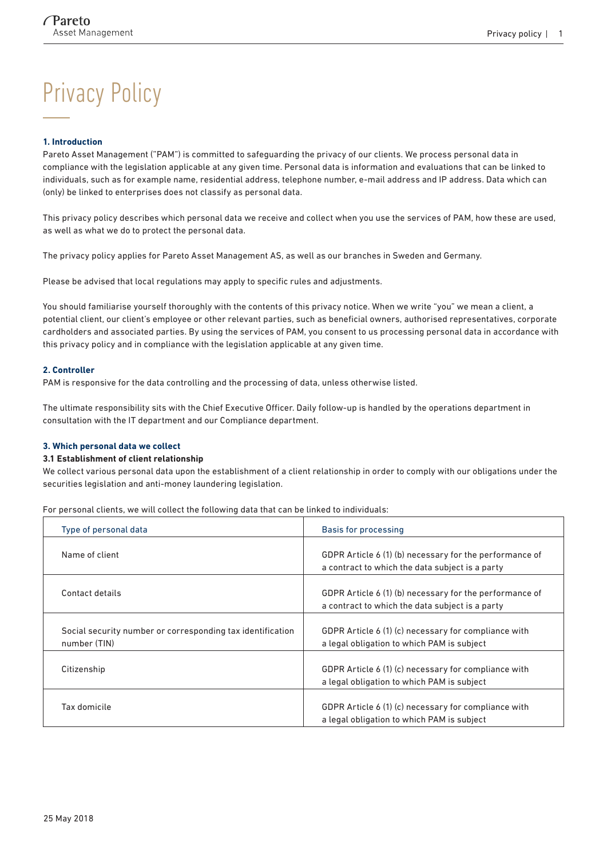# Privacy Policy

#### **1. Introduction**

Pareto Asset Management ("PAM") is committed to safeguarding the privacy of our clients. We process personal data in compliance with the legislation applicable at any given time. Personal data is information and evaluations that can be linked to individuals, such as for example name, residential address, telephone number, e-mail address and IP address. Data which can (only) be linked to enterprises does not classify as personal data.

This privacy policy describes which personal data we receive and collect when you use the services of PAM, how these are used, as well as what we do to protect the personal data.

The privacy policy applies for Pareto Asset Management AS, as well as our branches in Sweden and Germany.

Please be advised that local regulations may apply to specific rules and adjustments.

You should familiarise yourself thoroughly with the contents of this privacy notice. When we write "you" we mean a client, a potential client, our client's employee or other relevant parties, such as beneficial owners, authorised representatives, corporate cardholders and associated parties. By using the services of PAM, you consent to us processing personal data in accordance with this privacy policy and in compliance with the legislation applicable at any given time.

#### **2. Controller**

PAM is responsive for the data controlling and the processing of data, unless otherwise listed.

The ultimate responsibility sits with the Chief Executive Officer. Daily follow-up is handled by the operations department in consultation with the IT department and our Compliance department.

#### **3. Which personal data we collect**

#### **3.1 Establishment of client relationship**

We collect various personal data upon the establishment of a client relationship in order to comply with our obligations under the securities legislation and anti-money laundering legislation.

For personal clients, we will collect the following data that can be linked to individuals:

| Type of personal data                                                      | Basis for processing                                                                                       |  |
|----------------------------------------------------------------------------|------------------------------------------------------------------------------------------------------------|--|
| Name of client                                                             | GDPR Article 6 (1) (b) necessary for the performance of<br>a contract to which the data subject is a party |  |
| Contact details                                                            | GDPR Article 6 (1) (b) necessary for the performance of<br>a contract to which the data subject is a party |  |
| Social security number or corresponding tax identification<br>number (TIN) | GDPR Article 6 (1) (c) necessary for compliance with<br>a legal obligation to which PAM is subject         |  |
| Citizenship                                                                | GDPR Article 6 (1) (c) necessary for compliance with<br>a legal obligation to which PAM is subject         |  |
| Tax domicile                                                               | GDPR Article 6 (1) (c) necessary for compliance with<br>a legal obligation to which PAM is subject         |  |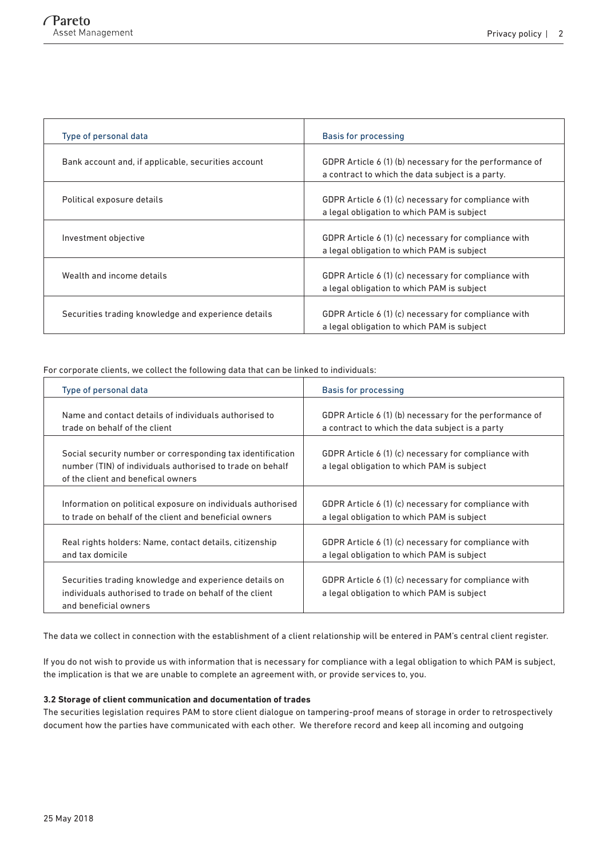| Type of personal data                               | Basis for processing                                                                                        |  |
|-----------------------------------------------------|-------------------------------------------------------------------------------------------------------------|--|
| Bank account and, if applicable, securities account | GDPR Article 6 (1) (b) necessary for the performance of<br>a contract to which the data subject is a party. |  |
| Political exposure details                          | GDPR Article 6 (1) (c) necessary for compliance with<br>a legal obligation to which PAM is subject          |  |
| Investment objective                                | GDPR Article 6 (1) (c) necessary for compliance with<br>a legal obligation to which PAM is subject          |  |
| Wealth and income details                           | GDPR Article 6 (1) (c) necessary for compliance with<br>a legal obligation to which PAM is subject          |  |
| Securities trading knowledge and experience details | GDPR Article 6 (1) (c) necessary for compliance with<br>a legal obligation to which PAM is subject          |  |

For corporate clients, we collect the following data that can be linked to individuals:

| Type of personal data                                                                                                                                         | Basis for processing                                                                               |  |
|---------------------------------------------------------------------------------------------------------------------------------------------------------------|----------------------------------------------------------------------------------------------------|--|
| Name and contact details of individuals authorised to                                                                                                         | GDPR Article 6 (1) (b) necessary for the performance of                                            |  |
| trade on behalf of the client                                                                                                                                 | a contract to which the data subject is a party                                                    |  |
| Social security number or corresponding tax identification<br>number (TIN) of individuals authorised to trade on behalf<br>of the client and benefical owners | GDPR Article 6 (1) (c) necessary for compliance with<br>a legal obligation to which PAM is subject |  |
| Information on political exposure on individuals authorised                                                                                                   | GDPR Article 6 (1) (c) necessary for compliance with                                               |  |
| to trade on behalf of the client and beneficial owners                                                                                                        | a legal obligation to which PAM is subject                                                         |  |
| Real rights holders: Name, contact details, citizenship                                                                                                       | GDPR Article 6 (1) (c) necessary for compliance with                                               |  |
| and tax domicile                                                                                                                                              | a legal obligation to which PAM is subject                                                         |  |
| Securities trading knowledge and experience details on<br>individuals authorised to trade on behalf of the client<br>and beneficial owners                    | GDPR Article 6 (1) (c) necessary for compliance with<br>a legal obligation to which PAM is subject |  |

The data we collect in connection with the establishment of a client relationship will be entered in PAM's central client register.

If you do not wish to provide us with information that is necessary for compliance with a legal obligation to which PAM is subject, the implication is that we are unable to complete an agreement with, or provide services to, you.

#### **3.2 Storage of client communication and documentation of trades**

The securities legislation requires PAM to store client dialogue on tampering-proof means of storage in order to retrospectively document how the parties have communicated with each other. We therefore record and keep all incoming and outgoing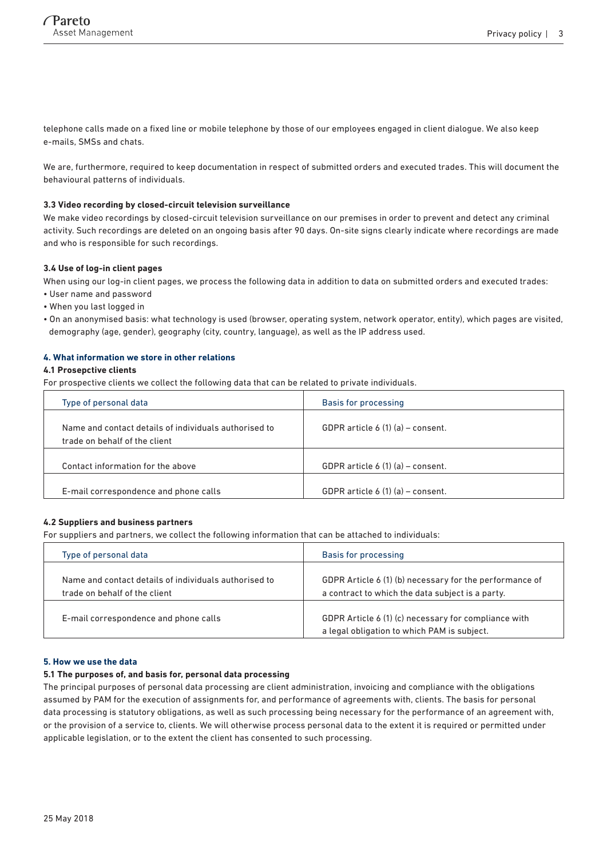telephone calls made on a fixed line or mobile telephone by those of our employees engaged in client dialogue. We also keep e-mails, SMSs and chats.

We are, furthermore, required to keep documentation in respect of submitted orders and executed trades. This will document the behavioural patterns of individuals.

#### **3.3 Video recording by closed-circuit television surveillance**

We make video recordings by closed-circuit television surveillance on our premises in order to prevent and detect any criminal activity. Such recordings are deleted on an ongoing basis after 90 days. On-site signs clearly indicate where recordings are made and who is responsible for such recordings.

## **3.4 Use of log-in client pages**

When using our log-in client pages, we process the following data in addition to data on submitted orders and executed trades:

- User name and password
- When you last logged in
- On an anonymised basis: what technology is used (browser, operating system, network operator, entity), which pages are visited, demography (age, gender), geography (city, country, language), as well as the IP address used.

## **4. What information we store in other relations**

## **4.1 Prosepctive clients**

For prospective clients we collect the following data that can be related to private individuals.

| Type of personal data                                                                  | Basis for processing              |
|----------------------------------------------------------------------------------------|-----------------------------------|
| Name and contact details of individuals authorised to<br>trade on behalf of the client | GDPR article 6 (1) (a) – consent. |
| Contact information for the above                                                      | GDPR article 6 (1) (a) – consent. |
| E-mail correspondence and phone calls                                                  | GDPR article 6 (1) (a) – consent. |

#### **4.2 Suppliers and business partners**

For suppliers and partners, we collect the following information that can be attached to individuals:

| Type of personal data                                                                  | Basis for processing                                                                                        |  |
|----------------------------------------------------------------------------------------|-------------------------------------------------------------------------------------------------------------|--|
| Name and contact details of individuals authorised to<br>trade on behalf of the client | GDPR Article 6 (1) (b) necessary for the performance of<br>a contract to which the data subject is a party. |  |
| E-mail correspondence and phone calls                                                  | GDPR Article 6 (1) (c) necessary for compliance with<br>a legal obligation to which PAM is subject.         |  |

## **5. How we use the data**

#### **5.1 The purposes of, and basis for, personal data processing**

The principal purposes of personal data processing are client administration, invoicing and compliance with the obligations assumed by PAM for the execution of assignments for, and performance of agreements with, clients. The basis for personal data processing is statutory obligations, as well as such processing being necessary for the performance of an agreement with, or the provision of a service to, clients. We will otherwise process personal data to the extent it is required or permitted under applicable legislation, or to the extent the client has consented to such processing.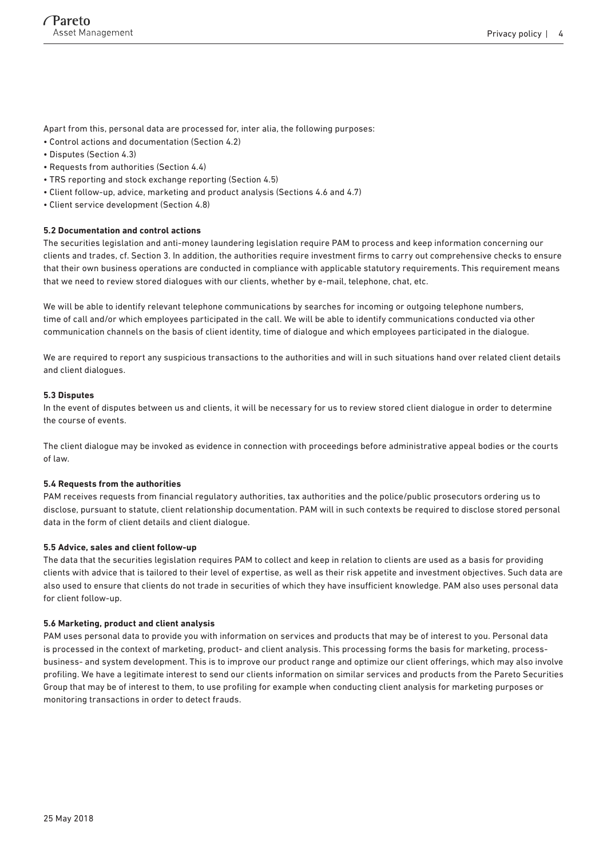Apart from this, personal data are processed for, inter alia, the following purposes:

- Control actions and documentation (Section 4.2)
- Disputes (Section 4.3)
- Requests from authorities (Section 4.4)
- TRS reporting and stock exchange reporting (Section 4.5)
- Client follow-up, advice, marketing and product analysis (Sections 4.6 and 4.7)
- Client service development (Section 4.8)

## **5.2 Documentation and control actions**

The securities legislation and anti-money laundering legislation require PAM to process and keep information concerning our clients and trades, cf. Section 3. In addition, the authorities require investment firms to carry out comprehensive checks to ensure that their own business operations are conducted in compliance with applicable statutory requirements. This requirement means that we need to review stored dialogues with our clients, whether by e-mail, telephone, chat, etc.

We will be able to identify relevant telephone communications by searches for incoming or outgoing telephone numbers, time of call and/or which employees participated in the call. We will be able to identify communications conducted via other communication channels on the basis of client identity, time of dialogue and which employees participated in the dialogue.

We are required to report any suspicious transactions to the authorities and will in such situations hand over related client details and client dialogues.

#### **5.3 Disputes**

In the event of disputes between us and clients, it will be necessary for us to review stored client dialogue in order to determine the course of events.

The client dialogue may be invoked as evidence in connection with proceedings before administrative appeal bodies or the courts of law.

#### **5.4 Requests from the authorities**

PAM receives requests from financial regulatory authorities, tax authorities and the police/public prosecutors ordering us to disclose, pursuant to statute, client relationship documentation. PAM will in such contexts be required to disclose stored personal data in the form of client details and client dialogue.

#### **5.5 Advice, sales and client follow-up**

The data that the securities legislation requires PAM to collect and keep in relation to clients are used as a basis for providing clients with advice that is tailored to their level of expertise, as well as their risk appetite and investment objectives. Such data are also used to ensure that clients do not trade in securities of which they have insufficient knowledge. PAM also uses personal data for client follow-up.

#### **5.6 Marketing, product and client analysis**

PAM uses personal data to provide you with information on services and products that may be of interest to you. Personal data is processed in the context of marketing, product- and client analysis. This processing forms the basis for marketing, processbusiness- and system development. This is to improve our product range and optimize our client offerings, which may also involve profiling. We have a legitimate interest to send our clients information on similar services and products from the Pareto Securities Group that may be of interest to them, to use profiling for example when conducting client analysis for marketing purposes or monitoring transactions in order to detect frauds.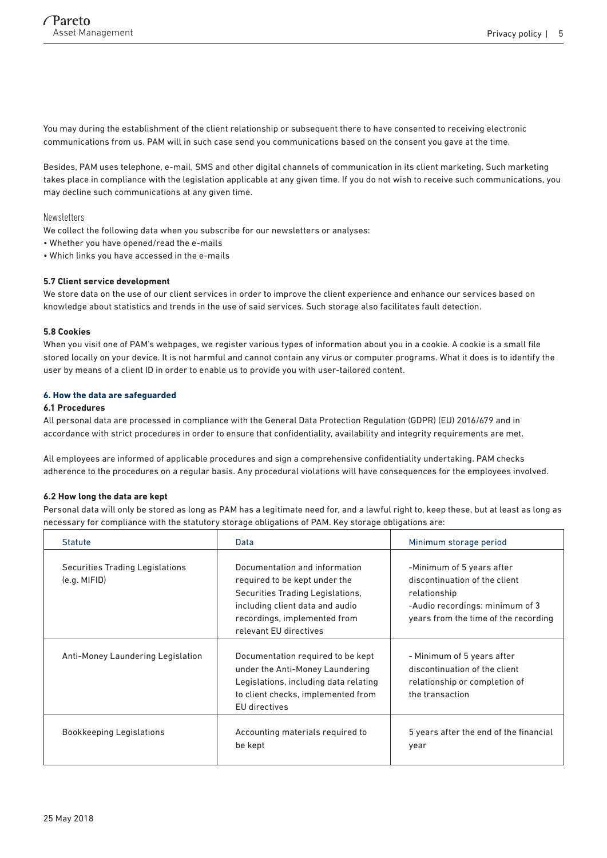You may during the establishment of the client relationship or subsequent there to have consented to receiving electronic communications from us. PAM will in such case send you communications based on the consent you gave at the time.

Besides, PAM uses telephone, e-mail, SMS and other digital channels of communication in its client marketing. Such marketing takes place in compliance with the legislation applicable at any given time. If you do not wish to receive such communications, you may decline such communications at any given time.

#### Newsletters

We collect the following data when you subscribe for our newsletters or analyses:

- Whether you have opened/read the e-mails
- Which links you have accessed in the e-mails

## **5.7 Client service development**

We store data on the use of our client services in order to improve the client experience and enhance our services based on knowledge about statistics and trends in the use of said services. Such storage also facilitates fault detection.

#### **5.8 Cookies**

When you visit one of PAM's webpages, we register various types of information about you in a cookie. A cookie is a small file stored locally on your device. It is not harmful and cannot contain any virus or computer programs. What it does is to identify the user by means of a client ID in order to enable us to provide you with user-tailored content.

## **6. How the data are safeguarded**

## **6.1 Procedures**

All personal data are processed in compliance with the General Data Protection Regulation (GDPR) (EU) 2016/679 and in accordance with strict procedures in order to ensure that confidentiality, availability and integrity requirements are met.

All employees are informed of applicable procedures and sign a comprehensive confidentiality undertaking. PAM checks adherence to the procedures on a regular basis. Any procedural violations will have consequences for the employees involved.

#### **6.2 How long the data are kept**

Personal data will only be stored as long as PAM has a legitimate need for, and a lawful right to, keep these, but at least as long as necessary for compliance with the statutory storage obligations of PAM. Key storage obligations are:

| <b>Statute</b>                                         | Data                                                                                                                                                                                            | Minimum storage period                                                                                                                                |
|--------------------------------------------------------|-------------------------------------------------------------------------------------------------------------------------------------------------------------------------------------------------|-------------------------------------------------------------------------------------------------------------------------------------------------------|
| <b>Securities Trading Legislations</b><br>(e.g. MIFID) | Documentation and information<br>required to be kept under the<br>Securities Trading Legislations,<br>including client data and audio<br>recordings, implemented from<br>relevant EU directives | -Minimum of 5 years after<br>discontinuation of the client<br>relationship<br>-Audio recordings: minimum of 3<br>years from the time of the recording |
| Anti-Money Laundering Legislation                      | Documentation required to be kept<br>under the Anti-Money Laundering<br>Legislations, including data relating<br>to client checks, implemented from<br>EU directives                            | - Minimum of 5 years after<br>discontinuation of the client<br>relationship or completion of<br>the transaction                                       |
| <b>Bookkeeping Legislations</b>                        | Accounting materials required to<br>be kept                                                                                                                                                     | 5 years after the end of the financial<br>year                                                                                                        |